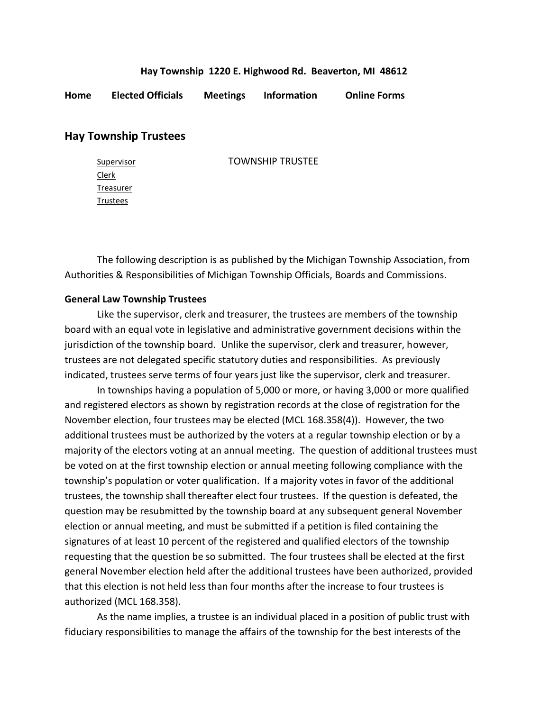## **Hay Township 1220 E. Highwood Rd. Beaverton, MI 48612**

**Home Elected Officials Meetings Information Online Forms**

## **Hay Township Trustees**

Clerk **Treasurer Trustees** 

Supervisor **TOWNSHIP TRUSTEE** 

The following description is as published by the Michigan Township Association, from Authorities & Responsibilities of Michigan Township Officials, Boards and Commissions.

## **General Law Township Trustees**

Like the supervisor, clerk and treasurer, the trustees are members of the township board with an equal vote in legislative and administrative government decisions within the jurisdiction of the township board. Unlike the supervisor, clerk and treasurer, however, trustees are not delegated specific statutory duties and responsibilities. As previously indicated, trustees serve terms of four years just like the supervisor, clerk and treasurer.

In townships having a population of 5,000 or more, or having 3,000 or more qualified and registered electors as shown by registration records at the close of registration for the November election, four trustees may be elected (MCL 168.358(4)). However, the two additional trustees must be authorized by the voters at a regular township election or by a majority of the electors voting at an annual meeting. The question of additional trustees must be voted on at the first township election or annual meeting following compliance with the township's population or voter qualification. If a majority votes in favor of the additional trustees, the township shall thereafter elect four trustees. If the question is defeated, the question may be resubmitted by the township board at any subsequent general November election or annual meeting, and must be submitted if a petition is filed containing the signatures of at least 10 percent of the registered and qualified electors of the township requesting that the question be so submitted. The four trustees shall be elected at the first general November election held after the additional trustees have been authorized, provided that this election is not held less than four months after the increase to four trustees is authorized (MCL 168.358).

As the name implies, a trustee is an individual placed in a position of public trust with fiduciary responsibilities to manage the affairs of the township for the best interests of the